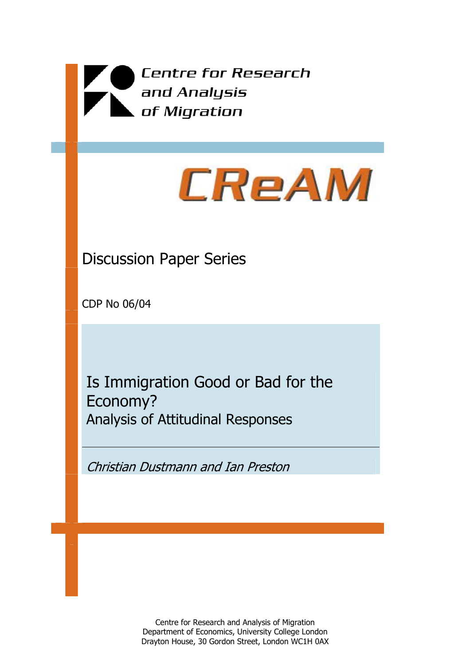



Discussion Paper Series

CDP No 06/04

Is Immigration Good or Bad for the Economy? Analysis of Attitudinal Responses

Christian Dustmann and Ian Preston

Centre for Research and Analysis of Migration Department of Economics, University College London Drayton House, 30 Gordon Street, London WC1H 0AX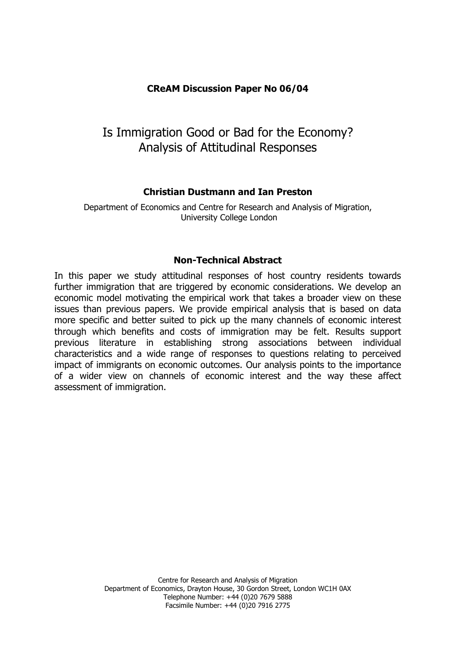## **CReAM Discussion Paper No 06/04**

## Is Immigration Good or Bad for the Economy? Analysis of Attitudinal Responses

## **Christian Dustmann and Ian Preston**

Department of Economics and Centre for Research and Analysis of Migration, University College London

## **Non-Technical Abstract**

In this paper we study attitudinal responses of host country residents towards further immigration that are triggered by economic considerations. We develop an economic model motivating the empirical work that takes a broader view on these issues than previous papers. We provide empirical analysis that is based on data more specific and better suited to pick up the many channels of economic interest through which benefits and costs of immigration may be felt. Results support previous literature in establishing strong associations between individual characteristics and a wide range of responses to questions relating to perceived impact of immigrants on economic outcomes. Our analysis points to the importance of a wider view on channels of economic interest and the way these affect assessment of immigration.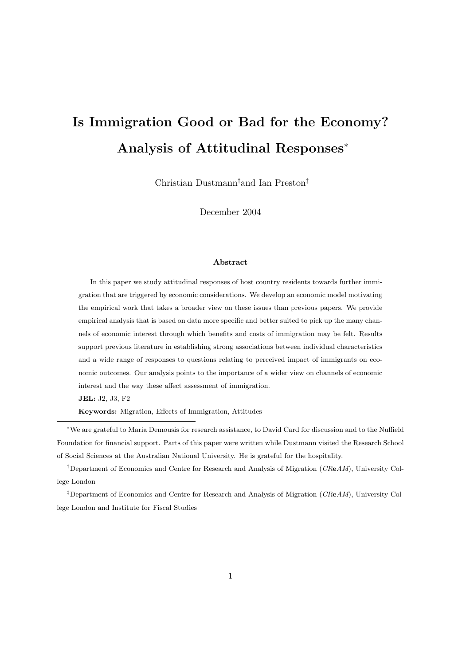# Is Immigration Good or Bad for the Economy? Analysis of Attitudinal Responses<sup>∗</sup>

Christian Dustmann†and Ian Preston‡

December 2004

#### Abstract

In this paper we study attitudinal responses of host country residents towards further immigration that are triggered by economic considerations. We develop an economic model motivating the empirical work that takes a broader view on these issues than previous papers. We provide empirical analysis that is based on data more specific and better suited to pick up the many channels of economic interest through which benefits and costs of immigration may be felt. Results support previous literature in establishing strong associations between individual characteristics and a wide range of responses to questions relating to perceived impact of immigrants on economic outcomes. Our analysis points to the importance of a wider view on channels of economic interest and the way these affect assessment of immigration.

JEL: J2, J3, F2

Keywords: Migration, Effects of Immigration, Attitudes

<sup>∗</sup>We are grateful to Maria Demousis for research assistance, to David Card for discussion and to the Nuffield Foundation for financial support. Parts of this paper were written while Dustmann visited the Research School of Social Sciences at the Australian National University. He is grateful for the hospitality.

<sup>†</sup>Department of Economics and Centre for Research and Analysis of Migration (*CReAM*), University College London

<sup>‡</sup>Department of Economics and Centre for Research and Analysis of Migration (*CReAM*), University College London and Institute for Fiscal Studies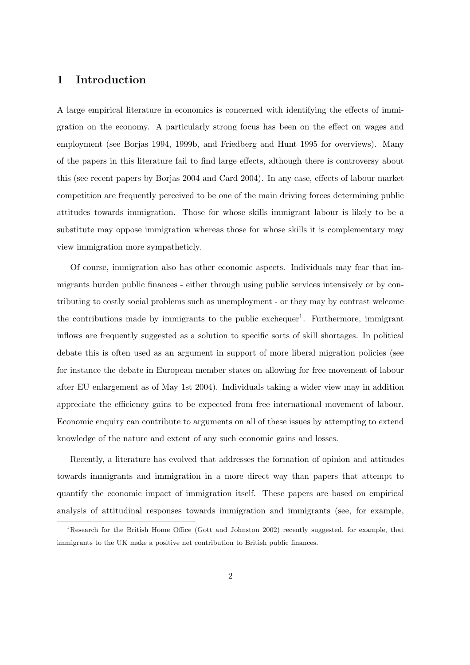## 1 Introduction

A large empirical literature in economics is concerned with identifying the effects of immigration on the economy. A particularly strong focus has been on the effect on wages and employment (see Borjas 1994, 1999b, and Friedberg and Hunt 1995 for overviews). Many of the papers in this literature fail to find large effects, although there is controversy about this (see recent papers by Borjas 2004 and Card 2004). In any case, effects of labour market competition are frequently perceived to be one of the main driving forces determining public attitudes towards immigration. Those for whose skills immigrant labour is likely to be a substitute may oppose immigration whereas those for whose skills it is complementary may view immigration more sympatheticly.

Of course, immigration also has other economic aspects. Individuals may fear that immigrants burden public finances - either through using public services intensively or by contributing to costly social problems such as unemployment - or they may by contrast welcome the contributions made by immigrants to the public exchequer<sup>1</sup>. Furthermore, immigrant inflows are frequently suggested as a solution to specific sorts of skill shortages. In political debate this is often used as an argument in support of more liberal migration policies (see for instance the debate in European member states on allowing for free movement of labour after EU enlargement as of May 1st 2004). Individuals taking a wider view may in addition appreciate the efficiency gains to be expected from free international movement of labour. Economic enquiry can contribute to arguments on all of these issues by attempting to extend knowledge of the nature and extent of any such economic gains and losses.

Recently, a literature has evolved that addresses the formation of opinion and attitudes towards immigrants and immigration in a more direct way than papers that attempt to quantify the economic impact of immigration itself. These papers are based on empirical analysis of attitudinal responses towards immigration and immigrants (see, for example,

<sup>&</sup>lt;sup>1</sup>Research for the British Home Office (Gott and Johnston 2002) recently suggested, for example, that immigrants to the UK make a positive net contribution to British public finances.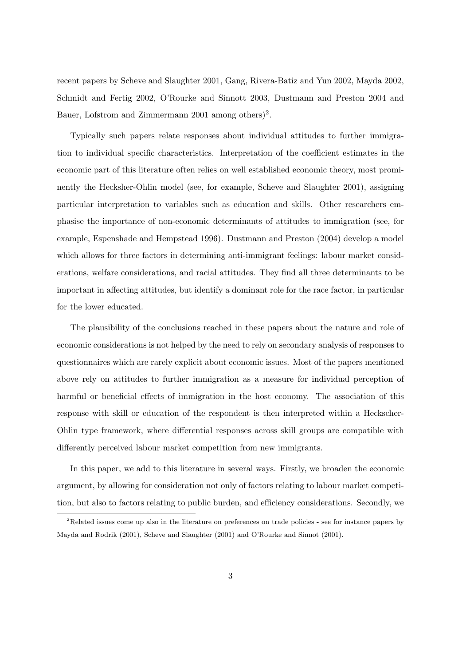recent papers by Scheve and Slaughter 2001, Gang, Rivera-Batiz and Yun 2002, Mayda 2002, Schmidt and Fertig 2002, O'Rourke and Sinnott 2003, Dustmann and Preston 2004 and Bauer, Lofstrom and Zimmermann 2001 among others)<sup>2</sup>.

Typically such papers relate responses about individual attitudes to further immigration to individual specific characteristics. Interpretation of the coefficient estimates in the economic part of this literature often relies on well established economic theory, most prominently the Hecksher-Ohlin model (see, for example, Scheve and Slaughter 2001), assigning particular interpretation to variables such as education and skills. Other researchers emphasise the importance of non-economic determinants of attitudes to immigration (see, for example, Espenshade and Hempstead 1996). Dustmann and Preston (2004) develop a model which allows for three factors in determining anti-immigrant feelings: labour market considerations, welfare considerations, and racial attitudes. They find all three determinants to be important in affecting attitudes, but identify a dominant role for the race factor, in particular for the lower educated.

The plausibility of the conclusions reached in these papers about the nature and role of economic considerations is not helped by the need to rely on secondary analysis of responses to questionnaires which are rarely explicit about economic issues. Most of the papers mentioned above rely on attitudes to further immigration as a measure for individual perception of harmful or beneficial effects of immigration in the host economy. The association of this response with skill or education of the respondent is then interpreted within a Heckscher-Ohlin type framework, where differential responses across skill groups are compatible with differently perceived labour market competition from new immigrants.

In this paper, we add to this literature in several ways. Firstly, we broaden the economic argument, by allowing for consideration not only of factors relating to labour market competition, but also to factors relating to public burden, and efficiency considerations. Secondly, we

<sup>&</sup>lt;sup>2</sup>Related issues come up also in the literature on preferences on trade policies - see for instance papers by Mayda and Rodrik (2001), Scheve and Slaughter (2001) and O'Rourke and Sinnot (2001).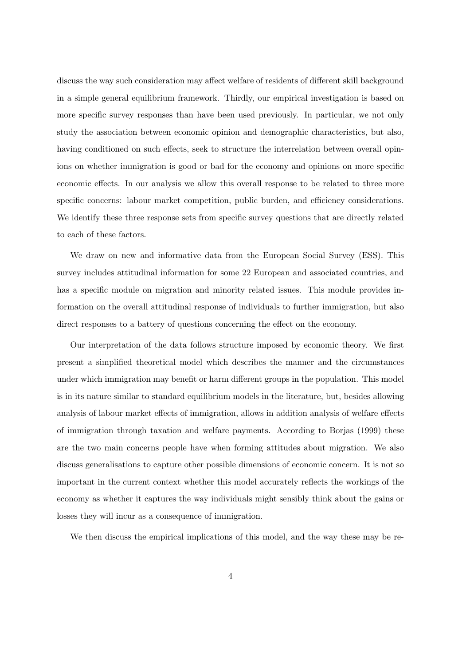discuss the way such consideration may affect welfare of residents of different skill background in a simple general equilibrium framework. Thirdly, our empirical investigation is based on more specific survey responses than have been used previously. In particular, we not only study the association between economic opinion and demographic characteristics, but also, having conditioned on such effects, seek to structure the interrelation between overall opinions on whether immigration is good or bad for the economy and opinions on more specific economic effects. In our analysis we allow this overall response to be related to three more specific concerns: labour market competition, public burden, and efficiency considerations. We identify these three response sets from specific survey questions that are directly related to each of these factors.

We draw on new and informative data from the European Social Survey (ESS). This survey includes attitudinal information for some 22 European and associated countries, and has a specific module on migration and minority related issues. This module provides information on the overall attitudinal response of individuals to further immigration, but also direct responses to a battery of questions concerning the effect on the economy.

Our interpretation of the data follows structure imposed by economic theory. We first present a simplified theoretical model which describes the manner and the circumstances under which immigration may benefit or harm different groups in the population. This model is in its nature similar to standard equilibrium models in the literature, but, besides allowing analysis of labour market effects of immigration, allows in addition analysis of welfare effects of immigration through taxation and welfare payments. According to Borjas (1999) these are the two main concerns people have when forming attitudes about migration. We also discuss generalisations to capture other possible dimensions of economic concern. It is not so important in the current context whether this model accurately reflects the workings of the economy as whether it captures the way individuals might sensibly think about the gains or losses they will incur as a consequence of immigration.

We then discuss the empirical implications of this model, and the way these may be re-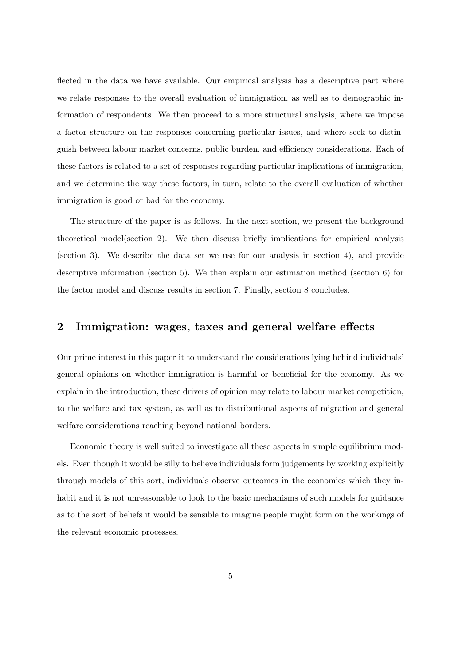flected in the data we have available. Our empirical analysis has a descriptive part where we relate responses to the overall evaluation of immigration, as well as to demographic information of respondents. We then proceed to a more structural analysis, where we impose a factor structure on the responses concerning particular issues, and where seek to distinguish between labour market concerns, public burden, and efficiency considerations. Each of these factors is related to a set of responses regarding particular implications of immigration, and we determine the way these factors, in turn, relate to the overall evaluation of whether immigration is good or bad for the economy.

The structure of the paper is as follows. In the next section, we present the background theoretical model(section 2). We then discuss briefly implications for empirical analysis (section 3). We describe the data set we use for our analysis in section 4), and provide descriptive information (section 5). We then explain our estimation method (section 6) for the factor model and discuss results in section 7. Finally, section 8 concludes.

## 2 Immigration: wages, taxes and general welfare effects

Our prime interest in this paper it to understand the considerations lying behind individuals' general opinions on whether immigration is harmful or beneficial for the economy. As we explain in the introduction, these drivers of opinion may relate to labour market competition, to the welfare and tax system, as well as to distributional aspects of migration and general welfare considerations reaching beyond national borders.

Economic theory is well suited to investigate all these aspects in simple equilibrium models. Even though it would be silly to believe individuals form judgements by working explicitly through models of this sort, individuals observe outcomes in the economies which they inhabit and it is not unreasonable to look to the basic mechanisms of such models for guidance as to the sort of beliefs it would be sensible to imagine people might form on the workings of the relevant economic processes.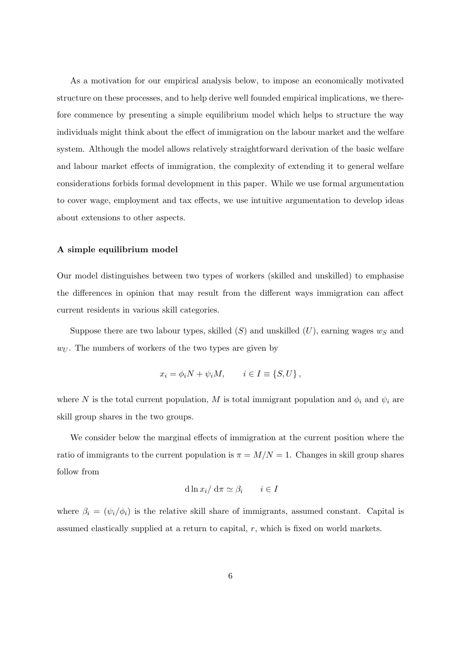As a motivation for our empirical analysis below, to impose an economically motivated structure on these processes, and to help derive well founded empirical implications, we therefore commence by presenting a simple equilibrium model which helps to structure the way individuals might think about the effect of immigration on the labour market and the welfare system. Although the model allows relatively straightforward derivation of the basic welfare and labour market effects of immigration, the complexity of extending it to general welfare considerations forbids formal development in this paper. While we use formal argumentation to cover wage, employment and tax effects, we use intuitive argumentation to develop ideas about extensions to other aspects.

#### A simple equilibrium model

Our model distinguishes between two types of workers (skilled and unskilled) to emphasise the differences in opinion that may result from the different ways immigration can affect current residents in various skill categories.

Suppose there are two labour types, skilled  $(S)$  and unskilled  $(U)$ , earning wages  $w<sub>S</sub>$  and  $w_U$ . The numbers of workers of the two types are given by

$$
x_i = \phi_i N + \psi_i M, \qquad i \in I \equiv \{S, U\},\,
$$

where N is the total current population, M is total immigrant population and  $\phi_i$  and  $\psi_i$  are skill group shares in the two groups.

We consider below the marginal effects of immigration at the current position where the ratio of immigrants to the current population is  $\pi = M/N = 1$ . Changes in skill group shares follow from

$$
\mathrm{d}\ln x_i/\mathrm{d}\pi \simeq \beta_i \qquad i \in I
$$

where  $\beta_i = (\psi_i/\phi_i)$  is the relative skill share of immigrants, assumed constant. Capital is assumed elastically supplied at a return to capital,  $r$ , which is fixed on world markets.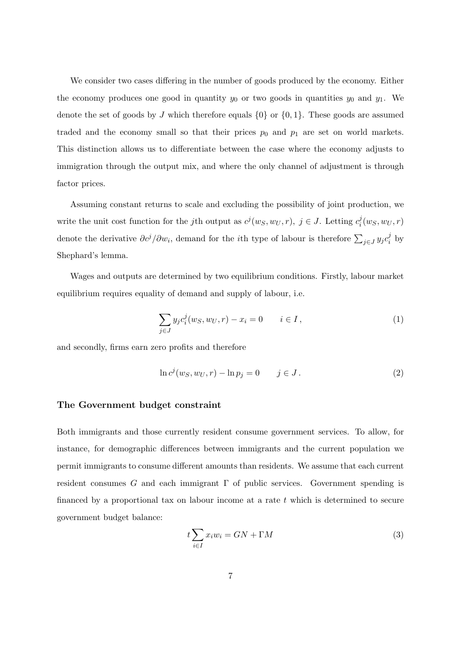We consider two cases differing in the number of goods produced by the economy. Either the economy produces one good in quantity  $y_0$  or two goods in quantities  $y_0$  and  $y_1$ . We denote the set of goods by J which therefore equals  $\{0\}$  or  $\{0,1\}$ . These goods are assumed traded and the economy small so that their prices  $p_0$  and  $p_1$  are set on world markets. This distinction allows us to differentiate between the case where the economy adjusts to immigration through the output mix, and where the only channel of adjustment is through factor prices.

Assuming constant returns to scale and excluding the possibility of joint production, we write the unit cost function for the *j*th output as  $c^j(w_S, w_U, r)$ ,  $j \in J$ . Letting  $c_i^j$  $\frac{y}{i}(w_S,w_U,r)$ denote the derivative  $\partial c^j/\partial w_i$ , demand for the *i*th type of labour is therefore  $\sum_{j\in J} y_j c_i^j$  $\frac{J}{i}$  by Shephard's lemma.

Wages and outputs are determined by two equilibrium conditions. Firstly, labour market equilibrium requires equality of demand and supply of labour, i.e.

$$
\sum_{j\in J} y_j c_i^j(w_S, w_U, r) - x_i = 0 \qquad i \in I,
$$
\n<sup>(1)</sup>

and secondly, firms earn zero profits and therefore

$$
\ln c^j(w_S, w_U, r) - \ln p_j = 0 \qquad j \in J. \tag{2}
$$

#### The Government budget constraint

Both immigrants and those currently resident consume government services. To allow, for instance, for demographic differences between immigrants and the current population we permit immigrants to consume different amounts than residents. We assume that each current resident consumes G and each immigrant  $\Gamma$  of public services. Government spending is financed by a proportional tax on labour income at a rate  $t$  which is determined to secure government budget balance:

$$
t\sum_{i\in I}x_iw_i = GN + \Gamma M\tag{3}
$$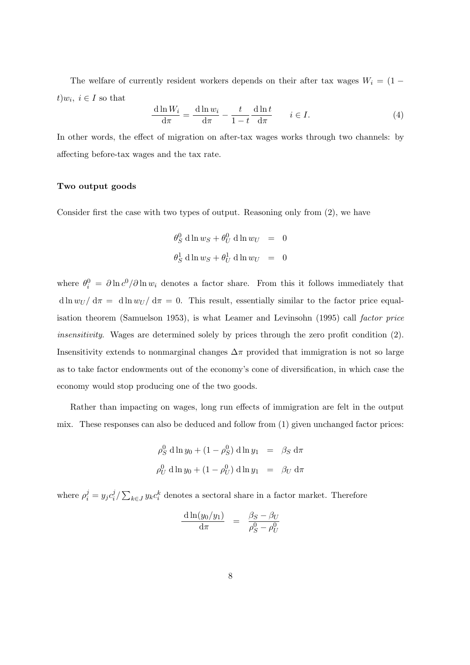The welfare of currently resident workers depends on their after tax wages  $W_i = (1$  $t)w_i, i \in I$  so that

$$
\frac{\mathrm{d}\ln W_i}{\mathrm{d}\pi} = \frac{\mathrm{d}\ln w_i}{\mathrm{d}\pi} - \frac{t}{1-t} \frac{\mathrm{d}\ln t}{\mathrm{d}\pi} \qquad i \in I. \tag{4}
$$

In other words, the effect of migration on after-tax wages works through two channels: by affecting before-tax wages and the tax rate.

#### Two output goods

Consider first the case with two types of output. Reasoning only from (2), we have

$$
\theta_S^0 \, d\ln w_S + \theta_U^0 \, d\ln w_U = 0
$$
  

$$
\theta_S^1 \, d\ln w_S + \theta_U^1 \, d\ln w_U = 0
$$

where  $\theta_i^0 = \partial \ln c^0 / \partial \ln w_i$  denotes a factor share. From this it follows immediately that  $d \ln w_U / d\pi = d \ln w_U / d\pi = 0$ . This result, essentially similar to the factor price equalisation theorem (Samuelson 1953), is what Leamer and Levinsohn (1995) call factor price insensitivity. Wages are determined solely by prices through the zero profit condition (2). Insensitivity extends to nonmarginal changes  $\Delta \pi$  provided that immigration is not so large as to take factor endowments out of the economy's cone of diversification, in which case the economy would stop producing one of the two goods.

Rather than impacting on wages, long run effects of immigration are felt in the output mix. These responses can also be deduced and follow from (1) given unchanged factor prices:

$$
\rho_S^0 \, d \ln y_0 + (1 - \rho_S^0) \, d \ln y_1 = \beta_S \, d\pi
$$
  

$$
\rho_U^0 \, d \ln y_0 + (1 - \rho_U^0) \, d \ln y_1 = \beta_U \, d\pi
$$

where  $\rho_i^j = y_j c_i^j$  $\sum_{k\in J} y_k c_i^k$  denotes a sectoral share in a factor market. Therefore

$$
\frac{\mathrm{d}\ln(y_0/y_1)}{\mathrm{d}\pi} = \frac{\beta_S - \beta_U}{\rho_S^0 - \rho_U^0}
$$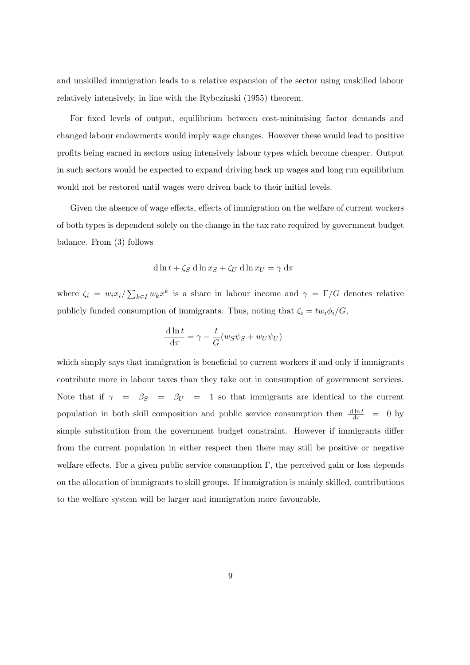and unskilled immigration leads to a relative expansion of the sector using unskilled labour relatively intensively, in line with the Rybczinski (1955) theorem.

For fixed levels of output, equilibrium between cost-minimising factor demands and changed labour endowments would imply wage changes. However these would lead to positive profits being earned in sectors using intensively labour types which become cheaper. Output in such sectors would be expected to expand driving back up wages and long run equilibrium would not be restored until wages were driven back to their initial levels.

Given the absence of wage effects, effects of immigration on the welfare of current workers of both types is dependent solely on the change in the tax rate required by government budget balance. From (3) follows

$$
d \ln t + \zeta_S \, d \ln x_S + \zeta_U \, d \ln x_U = \gamma \, d\pi
$$

where  $\zeta_i = w_i x_i / \sum_{k \in I} w_k x^k$  is a share in labour income and  $\gamma = \Gamma/G$  denotes relative publicly funded consumption of immigrants. Thus, noting that  $\zeta_i = tw_i \phi_i/G$ ,

$$
\frac{\mathrm{d}\ln t}{\mathrm{d}\pi} = \gamma - \frac{t}{G}(w_S \psi_S + w_U \psi_U)
$$

which simply says that immigration is beneficial to current workers if and only if immigrants contribute more in labour taxes than they take out in consumption of government services. Note that if  $\gamma = \beta_S = \beta_U = 1$  so that immigrants are identical to the current population in both skill composition and public service consumption then  $\frac{d \ln t}{d \pi}$  = 0 by simple substitution from the government budget constraint. However if immigrants differ from the current population in either respect then there may still be positive or negative welfare effects. For a given public service consumption  $\Gamma$ , the perceived gain or loss depends on the allocation of immigrants to skill groups. If immigration is mainly skilled, contributions to the welfare system will be larger and immigration more favourable.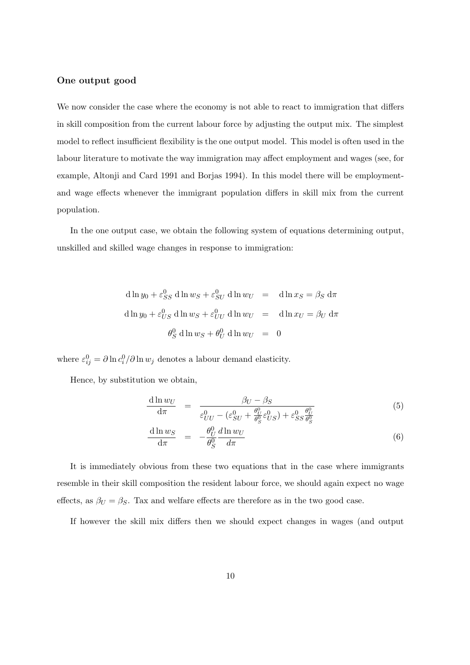#### One output good

We now consider the case where the economy is not able to react to immigration that differs in skill composition from the current labour force by adjusting the output mix. The simplest model to reflect insufficient flexibility is the one output model. This model is often used in the labour literature to motivate the way immigration may affect employment and wages (see, for example, Altonji and Card 1991 and Borjas 1994). In this model there will be employmentand wage effects whenever the immigrant population differs in skill mix from the current population.

In the one output case, we obtain the following system of equations determining output, unskilled and skilled wage changes in response to immigration:

$$
d \ln y_0 + \varepsilon_{SS}^0 d \ln w_S + \varepsilon_{SU}^0 d \ln w_U = d \ln x_S = \beta_S d\pi
$$
  

$$
d \ln y_0 + \varepsilon_{US}^0 d \ln w_S + \varepsilon_{UU}^0 d \ln w_U = d \ln x_U = \beta_U d\pi
$$
  

$$
\theta_S^0 d \ln w_S + \theta_U^0 d \ln w_U = 0
$$

where  $\varepsilon_{ij}^0 = \partial \ln c_i^0 / \partial \ln w_j$  denotes a labour demand elasticity.

Hence, by substitution we obtain,

$$
\frac{\mathrm{d}\ln w_U}{\mathrm{d}\pi} = \frac{\beta_U - \beta_S}{\varepsilon_{UU}^0 - (\varepsilon_{SU}^0 + \frac{\theta_U^0}{\theta_S^0}\varepsilon_{US}^0) + \varepsilon_{SS}^0 \frac{\theta_U^0}{\theta_S^0}} \tag{5}
$$

$$
\frac{\mathrm{d}\ln w_S}{\mathrm{d}\pi} = -\frac{\theta_U^0}{\theta_S^0} \frac{d\ln w_U}{d\pi} \tag{6}
$$

It is immediately obvious from these two equations that in the case where immigrants resemble in their skill composition the resident labour force, we should again expect no wage effects, as  $\beta_U = \beta_S$ . Tax and welfare effects are therefore as in the two good case.

If however the skill mix differs then we should expect changes in wages (and output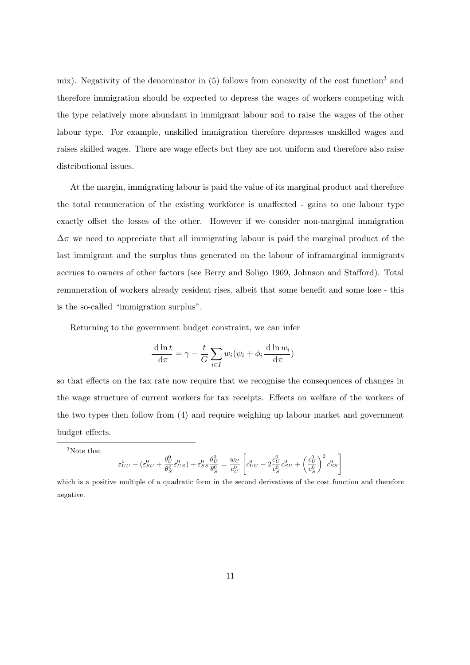mix). Negativity of the denominator in (5) follows from concavity of the cost function<sup>3</sup> and therefore immigration should be expected to depress the wages of workers competing with the type relatively more abundant in immigrant labour and to raise the wages of the other labour type. For example, unskilled immigration therefore depresses unskilled wages and raises skilled wages. There are wage effects but they are not uniform and therefore also raise distributional issues.

At the margin, immigrating labour is paid the value of its marginal product and therefore the total remuneration of the existing workforce is unaffected - gains to one labour type exactly offset the losses of the other. However if we consider non-marginal immigration  $\Delta\pi$  we need to appreciate that all immigrating labour is paid the marginal product of the last immigrant and the surplus thus generated on the labour of inframarginal immigrants accrues to owners of other factors (see Berry and Soligo 1969, Johnson and Stafford). Total remuneration of workers already resident rises, albeit that some benefit and some lose - this is the so-called "immigration surplus".

Returning to the government budget constraint, we can infer

$$
\frac{\mathrm{d}\ln t}{\mathrm{d}\pi} = \gamma - \frac{t}{G} \sum_{i \in I} w_i (\psi_i + \phi_i \frac{\mathrm{d}\ln w_i}{\mathrm{d}\pi})
$$

so that effects on the tax rate now require that we recognise the consequences of changes in the wage structure of current workers for tax receipts. Effects on welfare of the workers of the two types then follow from (4) and require weighing up labour market and government budget effects.

<sup>3</sup>Note that

$$
\varepsilon_{UU}^0 - \left(\varepsilon_{SU}^0 + \frac{\theta_U^0}{\theta_S^0}\varepsilon_{US}^0\right) + \varepsilon_{SS}^0\frac{\theta_U^0}{\theta_S^0} = \frac{w_U}{c_U^0} \left[c_{UU}^0 - 2\frac{c_U^0}{c_S^0}c_{SU}^0 + \left(\frac{c_U^0}{c_S^0}\right)^2c_{SS}^0\right]
$$

which is a positive multiple of a quadratic form in the second derivatives of the cost function and therefore negative.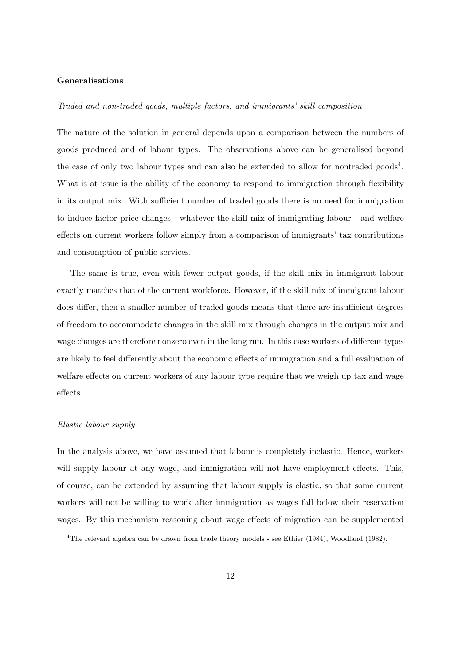#### Generalisations

#### Traded and non-traded goods, multiple factors, and immigrants' skill composition

The nature of the solution in general depends upon a comparison between the numbers of goods produced and of labour types. The observations above can be generalised beyond the case of only two labour types and can also be extended to allow for nontraded goods<sup>4</sup>. What is at issue is the ability of the economy to respond to immigration through flexibility in its output mix. With sufficient number of traded goods there is no need for immigration to induce factor price changes - whatever the skill mix of immigrating labour - and welfare effects on current workers follow simply from a comparison of immigrants' tax contributions and consumption of public services.

The same is true, even with fewer output goods, if the skill mix in immigrant labour exactly matches that of the current workforce. However, if the skill mix of immigrant labour does differ, then a smaller number of traded goods means that there are insufficient degrees of freedom to accommodate changes in the skill mix through changes in the output mix and wage changes are therefore nonzero even in the long run. In this case workers of different types are likely to feel differently about the economic effects of immigration and a full evaluation of welfare effects on current workers of any labour type require that we weigh up tax and wage effects.

#### Elastic labour supply

In the analysis above, we have assumed that labour is completely inelastic. Hence, workers will supply labour at any wage, and immigration will not have employment effects. This, of course, can be extended by assuming that labour supply is elastic, so that some current workers will not be willing to work after immigration as wages fall below their reservation wages. By this mechanism reasoning about wage effects of migration can be supplemented

<sup>4</sup>The relevant algebra can be drawn from trade theory models - see Ethier (1984), Woodland (1982).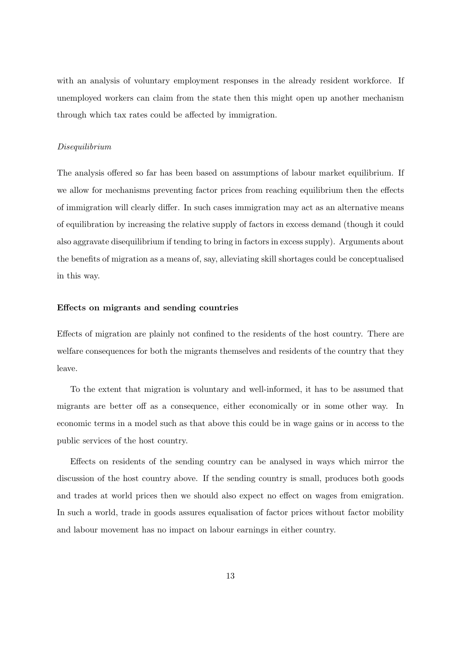with an analysis of voluntary employment responses in the already resident workforce. If unemployed workers can claim from the state then this might open up another mechanism through which tax rates could be affected by immigration.

#### Disequilibrium

The analysis offered so far has been based on assumptions of labour market equilibrium. If we allow for mechanisms preventing factor prices from reaching equilibrium then the effects of immigration will clearly differ. In such cases immigration may act as an alternative means of equilibration by increasing the relative supply of factors in excess demand (though it could also aggravate disequilibrium if tending to bring in factors in excess supply). Arguments about the benefits of migration as a means of, say, alleviating skill shortages could be conceptualised in this way.

#### Effects on migrants and sending countries

Effects of migration are plainly not confined to the residents of the host country. There are welfare consequences for both the migrants themselves and residents of the country that they leave.

To the extent that migration is voluntary and well-informed, it has to be assumed that migrants are better off as a consequence, either economically or in some other way. In economic terms in a model such as that above this could be in wage gains or in access to the public services of the host country.

Effects on residents of the sending country can be analysed in ways which mirror the discussion of the host country above. If the sending country is small, produces both goods and trades at world prices then we should also expect no effect on wages from emigration. In such a world, trade in goods assures equalisation of factor prices without factor mobility and labour movement has no impact on labour earnings in either country.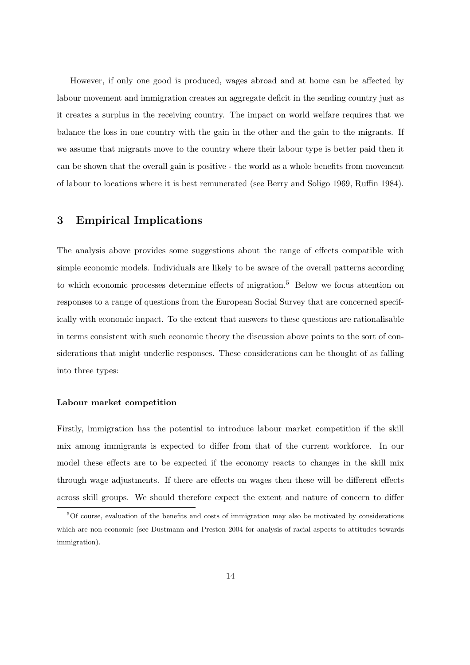However, if only one good is produced, wages abroad and at home can be affected by labour movement and immigration creates an aggregate deficit in the sending country just as it creates a surplus in the receiving country. The impact on world welfare requires that we balance the loss in one country with the gain in the other and the gain to the migrants. If we assume that migrants move to the country where their labour type is better paid then it can be shown that the overall gain is positive - the world as a whole benefits from movement of labour to locations where it is best remunerated (see Berry and Soligo 1969, Ruffin 1984).

## 3 Empirical Implications

The analysis above provides some suggestions about the range of effects compatible with simple economic models. Individuals are likely to be aware of the overall patterns according to which economic processes determine effects of migration.<sup>5</sup> Below we focus attention on responses to a range of questions from the European Social Survey that are concerned specifically with economic impact. To the extent that answers to these questions are rationalisable in terms consistent with such economic theory the discussion above points to the sort of considerations that might underlie responses. These considerations can be thought of as falling into three types:

#### Labour market competition

Firstly, immigration has the potential to introduce labour market competition if the skill mix among immigrants is expected to differ from that of the current workforce. In our model these effects are to be expected if the economy reacts to changes in the skill mix through wage adjustments. If there are effects on wages then these will be different effects across skill groups. We should therefore expect the extent and nature of concern to differ

<sup>5</sup>Of course, evaluation of the benefits and costs of immigration may also be motivated by considerations which are non-economic (see Dustmann and Preston 2004 for analysis of racial aspects to attitudes towards immigration).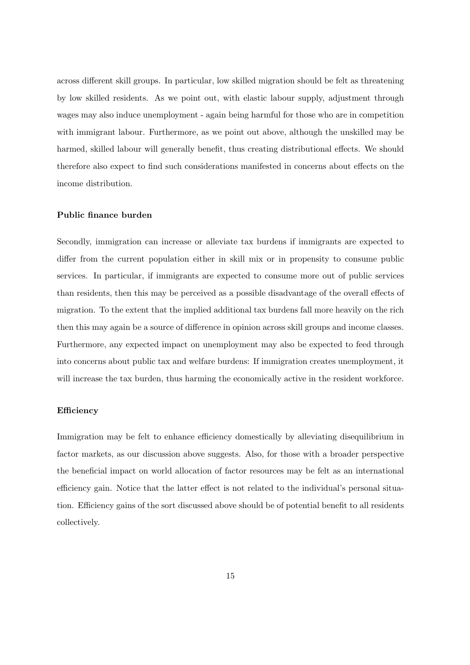across different skill groups. In particular, low skilled migration should be felt as threatening by low skilled residents. As we point out, with elastic labour supply, adjustment through wages may also induce unemployment - again being harmful for those who are in competition with immigrant labour. Furthermore, as we point out above, although the unskilled may be harmed, skilled labour will generally benefit, thus creating distributional effects. We should therefore also expect to find such considerations manifested in concerns about effects on the income distribution.

#### Public finance burden

Secondly, immigration can increase or alleviate tax burdens if immigrants are expected to differ from the current population either in skill mix or in propensity to consume public services. In particular, if immigrants are expected to consume more out of public services than residents, then this may be perceived as a possible disadvantage of the overall effects of migration. To the extent that the implied additional tax burdens fall more heavily on the rich then this may again be a source of difference in opinion across skill groups and income classes. Furthermore, any expected impact on unemployment may also be expected to feed through into concerns about public tax and welfare burdens: If immigration creates unemployment, it will increase the tax burden, thus harming the economically active in the resident workforce.

#### Efficiency

Immigration may be felt to enhance efficiency domestically by alleviating disequilibrium in factor markets, as our discussion above suggests. Also, for those with a broader perspective the beneficial impact on world allocation of factor resources may be felt as an international efficiency gain. Notice that the latter effect is not related to the individual's personal situation. Efficiency gains of the sort discussed above should be of potential benefit to all residents collectively.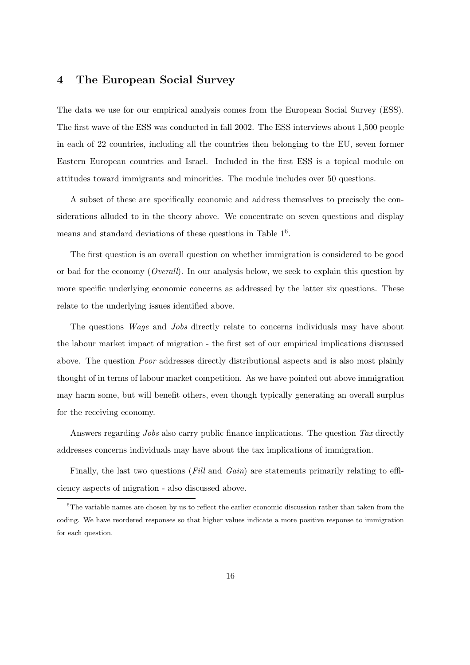## 4 The European Social Survey

The data we use for our empirical analysis comes from the European Social Survey (ESS). The first wave of the ESS was conducted in fall 2002. The ESS interviews about 1,500 people in each of 22 countries, including all the countries then belonging to the EU, seven former Eastern European countries and Israel. Included in the first ESS is a topical module on attitudes toward immigrants and minorities. The module includes over 50 questions.

A subset of these are specifically economic and address themselves to precisely the considerations alluded to in the theory above. We concentrate on seven questions and display means and standard deviations of these questions in Table  $1^6$ .

The first question is an overall question on whether immigration is considered to be good or bad for the economy (Overall). In our analysis below, we seek to explain this question by more specific underlying economic concerns as addressed by the latter six questions. These relate to the underlying issues identified above.

The questions Wage and Jobs directly relate to concerns individuals may have about the labour market impact of migration - the first set of our empirical implications discussed above. The question Poor addresses directly distributional aspects and is also most plainly thought of in terms of labour market competition. As we have pointed out above immigration may harm some, but will benefit others, even though typically generating an overall surplus for the receiving economy.

Answers regarding *Jobs* also carry public finance implications. The question Tax directly addresses concerns individuals may have about the tax implications of immigration.

Finally, the last two questions (*Fill* and *Gain*) are statements primarily relating to efficiency aspects of migration - also discussed above.

 $6$ The variable names are chosen by us to reflect the earlier economic discussion rather than taken from the coding. We have reordered responses so that higher values indicate a more positive response to immigration for each question.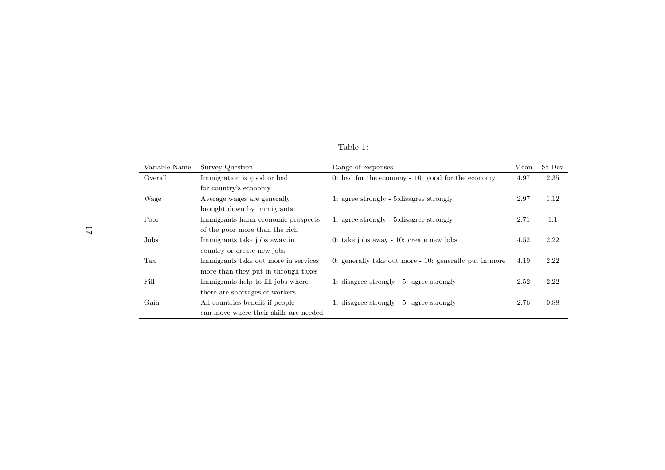| `able |  |  |
|-------|--|--|
|       |  |  |
|       |  |  |

| Variable Name | Survey Question                        | Range of responses                                       | Mean | St Dev |
|---------------|----------------------------------------|----------------------------------------------------------|------|--------|
| Overall       | Immigration is good or bad.            | $0:$ bad for the economy - 10: good for the economy      | 4.97 | 2.35   |
|               | for country's economy                  |                                                          |      |        |
| Wage          | Average wages are generally            | 1: agree strongly - 5: disagree strongly                 | 2.97 | 1.12   |
|               | brought down by immigrants             |                                                          |      |        |
| Poor          | Immigrants harm economic prospects     | 1: agree strongly - 5: disagree strongly                 | 2.71 | 1.1    |
|               | of the poor more than the rich         |                                                          |      |        |
| Jobs          | Immigrants take jobs away in           | 0: take jobs away $-10$ : create new jobs                | 4.52 | 2.22   |
|               | country or create new jobs             |                                                          |      |        |
| Tax           | Immigrants take out more in services   | 0: generally take out more $-10$ : generally put in more | 4.19 | 2.22   |
|               | more than they put in through taxes    |                                                          |      |        |
| Fill          | Immigrants help to fill jobs where     | 1: disagree strongly - 5: agree strongly                 | 2.52 | 2.22   |
|               | there are shortages of workers         |                                                          |      |        |
| Gain          | All countries benefit if people        | 1: disagree strongly $-5$ : agree strongly               | 2.76 | 0.88   |
|               | can move where their skills are needed |                                                          |      |        |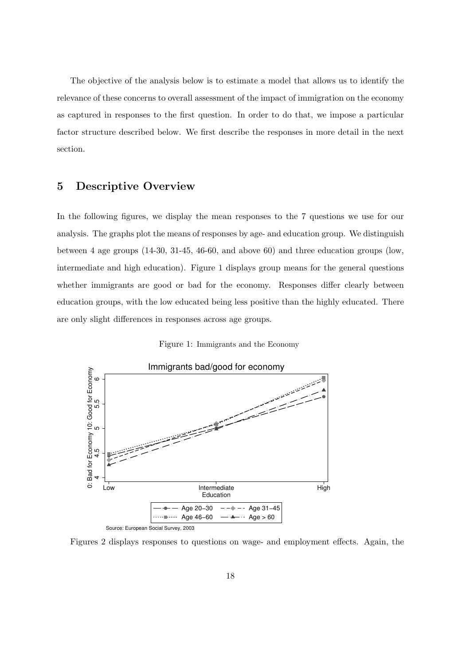The objective of the analysis below is to estimate a model that allows us to identify the relevance of these concerns to overall assessment of the impact of immigration on the economy as captured in responses to the first question. In order to do that, we impose a particular factor structure described below. We first describe the responses in more detail in the next section.

## 5 Descriptive Overview

In the following figures, we display the mean responses to the 7 questions we use for our analysis. The graphs plot the means of responses by age- and education group. We distinguish between 4 age groups (14-30, 31-45, 46-60, and above 60) and three education groups (low, intermediate and high education). Figure 1 displays group means for the general questions whether immigrants are good or bad for the economy. Responses differ clearly between education groups, with the low educated being less positive than the highly educated. There are only slight differences in responses across age groups.

Figure 1: Immigrants and the Economy



Figures 2 displays responses to questions on wage- and employment effects. Again, the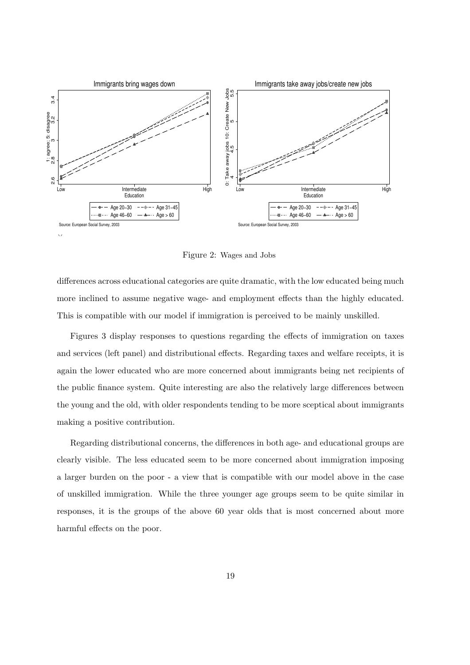

Figure 2: Wages and Jobs

differences across educational categories are quite dramatic, with the low educated being much more inclined to assume negative wage- and employment effects than the highly educated. This is compatible with our model if immigration is perceived to be mainly unskilled.

Figures 3 display responses to questions regarding the effects of immigration on taxes and services (left panel) and distributional effects. Regarding taxes and welfare receipts, it is again the lower educated who are more concerned about immigrants being net recipients of the public finance system. Quite interesting are also the relatively large differences between the young and the old, with older respondents tending to be more sceptical about immigrants making a positive contribution.

Regarding distributional concerns, the differences in both age- and educational groups are clearly visible. The less educated seem to be more concerned about immigration imposing a larger burden on the poor - a view that is compatible with our model above in the case of unskilled immigration. While the three younger age groups seem to be quite similar in responses, it is the groups of the above 60 year olds that is most concerned about more harmful effects on the poor.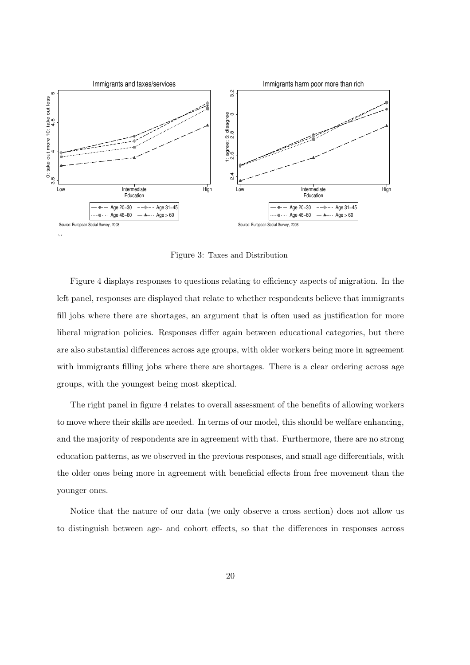

Figure 3: Taxes and Distribution

Figure 4 displays responses to questions relating to efficiency aspects of migration. In the left panel, responses are displayed that relate to whether respondents believe that immigrants fill jobs where there are shortages, an argument that is often used as justification for more liberal migration policies. Responses differ again between educational categories, but there are also substantial differences across age groups, with older workers being more in agreement with immigrants filling jobs where there are shortages. There is a clear ordering across age groups, with the youngest being most skeptical.

The right panel in figure 4 relates to overall assessment of the benefits of allowing workers to move where their skills are needed. In terms of our model, this should be welfare enhancing, and the majority of respondents are in agreement with that. Furthermore, there are no strong education patterns, as we observed in the previous responses, and small age differentials, with the older ones being more in agreement with beneficial effects from free movement than the younger ones.

Notice that the nature of our data (we only observe a cross section) does not allow us to distinguish between age- and cohort effects, so that the differences in responses across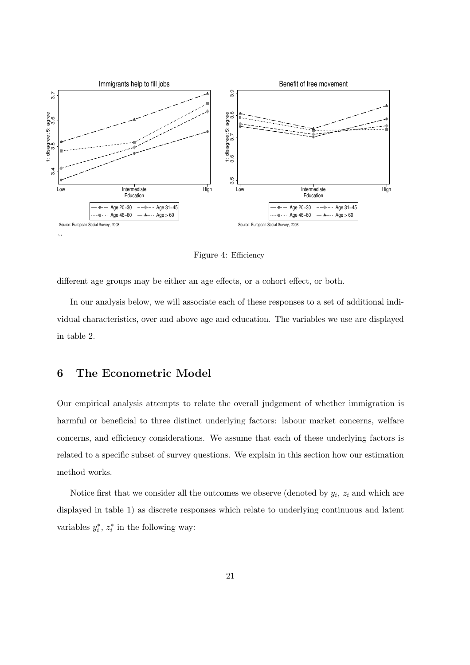

Figure 4: Efficiency

different age groups may be either an age effects, or a cohort effect, or both.

In our analysis below, we will associate each of these responses to a set of additional individual characteristics, over and above age and education. The variables we use are displayed in table 2.

## 6 The Econometric Model

Our empirical analysis attempts to relate the overall judgement of whether immigration is harmful or beneficial to three distinct underlying factors: labour market concerns, welfare concerns, and efficiency considerations. We assume that each of these underlying factors is related to a specific subset of survey questions. We explain in this section how our estimation method works.

Notice first that we consider all the outcomes we observe (denoted by  $y_i$ ,  $z_i$  and which are displayed in table 1) as discrete responses which relate to underlying continuous and latent variables  $y_i^*, z_i^*$  in the following way: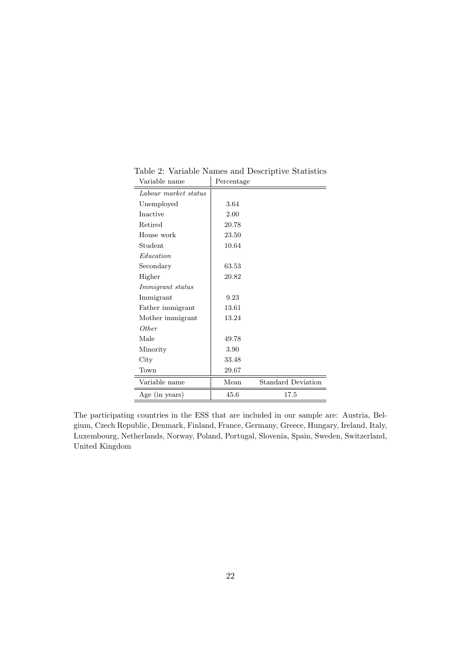| Labour market status |       |                           |
|----------------------|-------|---------------------------|
| Unemployed           | 3.64  |                           |
| Inactive             | 2.00  |                           |
| Retired              | 20.78 |                           |
| House work           | 23.50 |                           |
| Student              | 10.64 |                           |
| Education            |       |                           |
| Secondary            | 63.53 |                           |
| Higher               | 20.82 |                           |
| Immigrant status     |       |                           |
| Immigrant            | 9.23  |                           |
| Father immigrant     | 13.61 |                           |
| Mother immigrant     | 13.24 |                           |
| Other                |       |                           |
| Male                 | 49.78 |                           |
| Minority             | 3.90  |                           |
| City                 | 33.48 |                           |
| Town                 | 29.67 |                           |
| Variable name        | Mean  | <b>Standard Deviation</b> |
| Age (in years)       | 45.6  | 17.5                      |

Table 2: Variable Names and Descriptive Statistics Variable name

The participating countries in the ESS that are included in our sample are: Austria, Belgium, Czech Republic, Denmark, Finland, France, Germany, Greece, Hungary, Ireland, Italy, Luxembourg, Netherlands, Norway, Poland, Portugal, Slovenia, Spain, Sweden, Switzerland, United Kingdom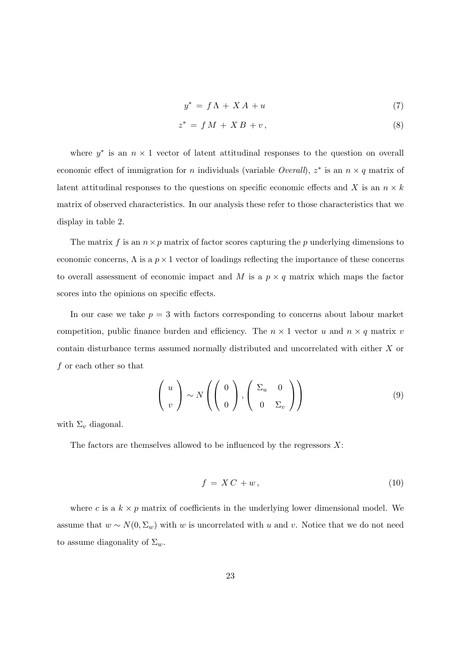$$
y^* = f\Lambda + XA + u \tag{7}
$$

$$
z^* = f M + X B + v, \tag{8}
$$

where  $y^*$  is an  $n \times 1$  vector of latent attitudinal responses to the question on overall economic effect of immigration for n individuals (variable *Overall*),  $z^*$  is an  $n \times q$  matrix of latent attitudinal responses to the questions on specific economic effects and X is an  $n \times k$ matrix of observed characteristics. In our analysis these refer to those characteristics that we display in table 2.

The matrix f is an  $n \times p$  matrix of factor scores capturing the p underlying dimensions to economic concerns,  $\Lambda$  is a  $p \times 1$  vector of loadings reflecting the importance of these concerns to overall assessment of economic impact and M is a  $p \times q$  matrix which maps the factor scores into the opinions on specific effects.

In our case we take  $p = 3$  with factors corresponding to concerns about labour market competition, public finance burden and efficiency. The  $n \times 1$  vector u and  $n \times q$  matrix v contain disturbance terms assumed normally distributed and uncorrelated with either X or f or each other so that

$$
\left(\begin{array}{c} u \\ v \end{array}\right) \sim N\left(\left(\begin{array}{c} 0 \\ 0 \end{array}\right), \left(\begin{array}{cc} \Sigma_u & 0 \\ 0 & \Sigma_v \end{array}\right)\right) \tag{9}
$$

with  $\Sigma_v$  diagonal.

The factors are themselves allowed to be influenced by the regressors  $X$ :

$$
f = XC + w, \tag{10}
$$

where c is a  $k \times p$  matrix of coefficients in the underlying lower dimensional model. We assume that  $w \sim N(0, \Sigma_w)$  with w is uncorrelated with u and v. Notice that we do not need to assume diagonality of  $\Sigma_w$ .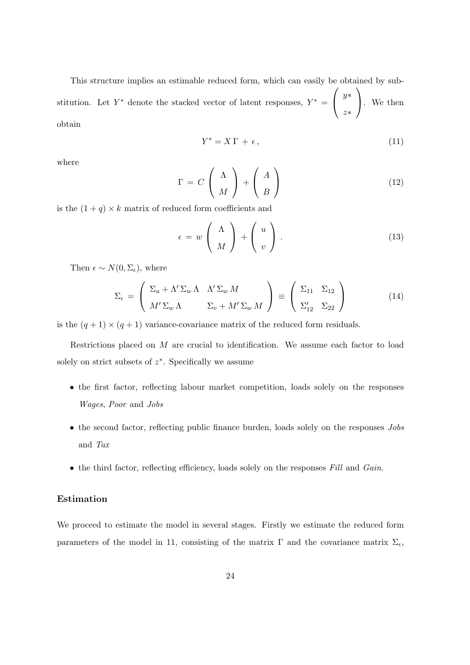This structure implies an estimable reduced form, which can easily be obtained by substitution. Let  $Y^*$  denote the stacked vector of latent responses,  $Y^* =$  $\sqrt{ }$  $\mathcal{L}$ y∗ z∗  $\setminus$ . We then obtain

$$
Y^* = X\,\Gamma + \epsilon\,,\tag{11}
$$

where

$$
\Gamma = C \left( \begin{array}{c} \Lambda \\ M \end{array} \right) + \left( \begin{array}{c} A \\ B \end{array} \right) \tag{12}
$$

is the  $(1 + q) \times k$  matrix of reduced form coefficients and

$$
\epsilon = w \left( \begin{array}{c} \Lambda \\ M \end{array} \right) + \left( \begin{array}{c} u \\ v \end{array} \right). \tag{13}
$$

Then  $\epsilon \sim N(0, \Sigma_{\epsilon})$ , where

$$
\Sigma_{\epsilon} = \begin{pmatrix} \Sigma_u + \Lambda' \Sigma_w \Lambda & \Lambda' \Sigma_w M \\ M' \Sigma_w \Lambda & \Sigma_v + M' \Sigma_w M \end{pmatrix} \equiv \begin{pmatrix} \Sigma_{11} & \Sigma_{12} \\ \Sigma'_{12} & \Sigma_{22} \end{pmatrix}
$$
(14)

is the  $(q + 1) \times (q + 1)$  variance-covariance matrix of the reduced form residuals.

Restrictions placed on M are crucial to identification. We assume each factor to load solely on strict subsets of  $z^*$ . Specifically we assume

- the first factor, reflecting labour market competition, loads solely on the responses Wages, Poor and Jobs
- the second factor, reflecting public finance burden, loads solely on the responses *Jobs* and Tax
- the third factor, reflecting efficiency, loads solely on the responses Fill and Gain.

#### Estimation

We proceed to estimate the model in several stages. Firstly we estimate the reduced form parameters of the model in 11, consisting of the matrix  $\Gamma$  and the covariance matrix  $\Sigma_{\epsilon}$ ,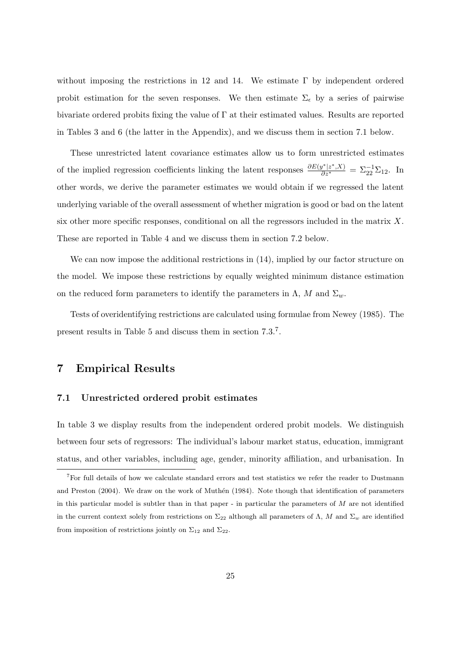without imposing the restrictions in 12 and 14. We estimate  $\Gamma$  by independent ordered probit estimation for the seven responses. We then estimate  $\Sigma_{\epsilon}$  by a series of pairwise bivariate ordered probits fixing the value of  $\Gamma$  at their estimated values. Results are reported in Tables 3 and 6 (the latter in the Appendix), and we discuss them in section 7.1 below.

These unrestricted latent covariance estimates allow us to form unrestricted estimates of the implied regression coefficients linking the latent responses  $\frac{\partial E(y^*|z^*,X)}{\partial z^*} = \sum_{i=1}^{-1} \Sigma_{12}$ . In other words, we derive the parameter estimates we would obtain if we regressed the latent underlying variable of the overall assessment of whether migration is good or bad on the latent six other more specific responses, conditional on all the regressors included in the matrix  $X$ . These are reported in Table 4 and we discuss them in section 7.2 below.

We can now impose the additional restrictions in  $(14)$ , implied by our factor structure on the model. We impose these restrictions by equally weighted minimum distance estimation on the reduced form parameters to identify the parameters in  $\Lambda$ , M and  $\Sigma_w$ .

Tests of overidentifying restrictions are calculated using formulae from Newey (1985). The present results in Table 5 and discuss them in section 7.3.<sup>7</sup>.

## 7 Empirical Results

#### 7.1 Unrestricted ordered probit estimates

In table 3 we display results from the independent ordered probit models. We distinguish between four sets of regressors: The individual's labour market status, education, immigrant status, and other variables, including age, gender, minority affiliation, and urbanisation. In

<sup>7</sup>For full details of how we calculate standard errors and test statistics we refer the reader to Dustmann and Preston (2004). We draw on the work of Muthén (1984). Note though that identification of parameters in this particular model is subtler than in that paper - in particular the parameters of  $M$  are not identified in the current context solely from restrictions on  $\Sigma_{22}$  although all parameters of  $\Lambda$ , M and  $\Sigma_w$  are identified from imposition of restrictions jointly on  $\Sigma_{12}$  and  $\Sigma_{22}$ .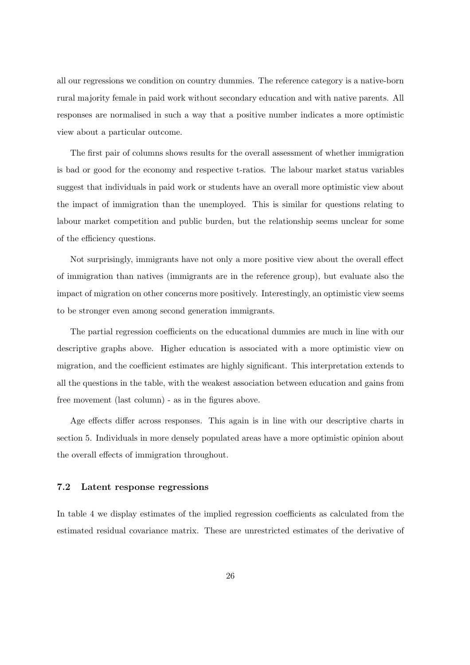all our regressions we condition on country dummies. The reference category is a native-born rural majority female in paid work without secondary education and with native parents. All responses are normalised in such a way that a positive number indicates a more optimistic view about a particular outcome.

The first pair of columns shows results for the overall assessment of whether immigration is bad or good for the economy and respective t-ratios. The labour market status variables suggest that individuals in paid work or students have an overall more optimistic view about the impact of immigration than the unemployed. This is similar for questions relating to labour market competition and public burden, but the relationship seems unclear for some of the efficiency questions.

Not surprisingly, immigrants have not only a more positive view about the overall effect of immigration than natives (immigrants are in the reference group), but evaluate also the impact of migration on other concerns more positively. Interestingly, an optimistic view seems to be stronger even among second generation immigrants.

The partial regression coefficients on the educational dummies are much in line with our descriptive graphs above. Higher education is associated with a more optimistic view on migration, and the coefficient estimates are highly significant. This interpretation extends to all the questions in the table, with the weakest association between education and gains from free movement (last column) - as in the figures above.

Age effects differ across responses. This again is in line with our descriptive charts in section 5. Individuals in more densely populated areas have a more optimistic opinion about the overall effects of immigration throughout.

#### 7.2 Latent response regressions

In table 4 we display estimates of the implied regression coefficients as calculated from the estimated residual covariance matrix. These are unrestricted estimates of the derivative of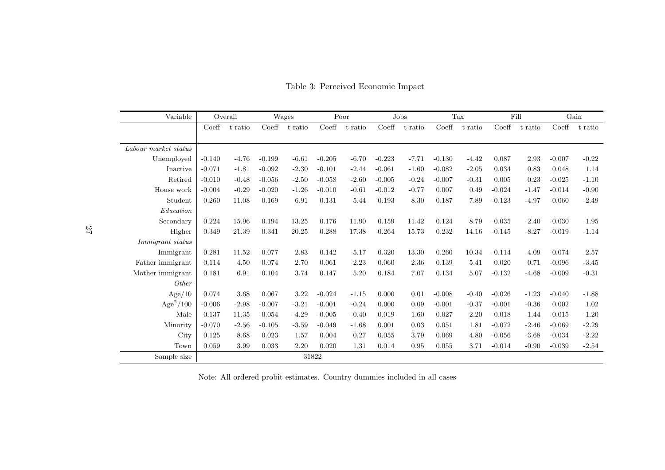| Variable             |          | Overall    |          | Wages     |          | Poor    |          | Jobs       |          | $\operatorname{Tax}$ |          | $_{\rm Fill}$ |          | Gain    |
|----------------------|----------|------------|----------|-----------|----------|---------|----------|------------|----------|----------------------|----------|---------------|----------|---------|
|                      | Coeff    | $t$ -ratio | Coeff    | t-ratio   | Coeff    | t-ratio | Coeff    | $t$ -ratio | Coeff    | t-ratio              | Coeff    | t-ratio       | Coeff    | t-ratio |
|                      |          |            |          |           |          |         |          |            |          |                      |          |               |          |         |
| Labour market status |          |            |          |           |          |         |          |            |          |                      |          |               |          |         |
| Unemployed           | $-0.140$ | $-4.76$    | $-0.199$ | $-6.61$   | $-0.205$ | $-6.70$ | $-0.223$ | $-7.71$    | $-0.130$ | $-4.42$              | 0.087    | 2.93          | $-0.007$ | $-0.22$ |
| Inactive             | $-0.071$ | $-1.81$    | $-0.092$ | $-2.30$   | $-0.101$ | $-2.44$ | $-0.061$ | $-1.60$    | $-0.082$ | $-2.05$              | 0.034    | 0.83          | 0.048    | 1.14    |
| Retired              | $-0.010$ | $-0.48$    | $-0.056$ | $-2.50$   | $-0.058$ | $-2.60$ | $-0.005$ | $-0.24$    | $-0.007$ | $-0.31$              | 0.005    | $0.23\,$      | $-0.025$ | $-1.10$ |
| House work           | $-0.004$ | $-0.29$    | $-0.020$ | $-1.26$   | $-0.010$ | $-0.61$ | $-0.012$ | $-0.77$    | 0.007    | 0.49                 | $-0.024$ | $-1.47$       | $-0.014$ | $-0.90$ |
| Student              | 0.260    | 11.08      | 0.169    | 6.91      | 0.131    | 5.44    | 0.193    | 8.30       | 0.187    | 7.89                 | $-0.123$ | $-4.97$       | $-0.060$ | $-2.49$ |
| Education            |          |            |          |           |          |         |          |            |          |                      |          |               |          |         |
| Secondary            | 0.224    | 15.96      | 0.194    | 13.25     | 0.176    | 11.90   | 0.159    | 11.42      | 0.124    | 8.79                 | $-0.035$ | $-2.40$       | $-0.030$ | $-1.95$ |
| Higher               | 0.349    | 21.39      | 0.341    | $20.25\,$ | 0.288    | 17.38   | 0.264    | 15.73      | 0.232    | 14.16                | $-0.145$ | $-8.27$       | $-0.019$ | $-1.14$ |
| Immigrant status     |          |            |          |           |          |         |          |            |          |                      |          |               |          |         |
| Immigrant            | 0.281    | 11.52      | 0.077    | 2.83      | 0.142    | 5.17    | 0.320    | 13.30      | 0.260    | 10.34                | $-0.114$ | $-4.09$       | $-0.074$ | $-2.57$ |
| Father immigrant     | 0.114    | 4.50       | 0.074    | 2.70      | 0.061    | 2.23    | 0.060    | 2.36       | 0.139    | 5.41                 | 0.020    | 0.71          | $-0.096$ | $-3.45$ |
| Mother immigrant     | 0.181    | 6.91       | 0.104    | 3.74      | 0.147    | 5.20    | 0.184    | 7.07       | 0.134    | 5.07                 | $-0.132$ | $-4.68$       | $-0.009$ | $-0.31$ |
| Other                |          |            |          |           |          |         |          |            |          |                      |          |               |          |         |
| Age/10               | 0.074    | 3.68       | 0.067    | 3.22      | $-0.024$ | $-1.15$ | 0.000    | 0.01       | $-0.008$ | $-0.40$              | $-0.026$ | $-1.23$       | $-0.040$ | $-1.88$ |
| $Age^2/100$          | $-0.006$ | $-2.98$    | $-0.007$ | $-3.21$   | $-0.001$ | $-0.24$ | 0.000    | 0.09       | $-0.001$ | $-0.37$              | $-0.001$ | $-0.36$       | 0.002    | 1.02    |
| Male                 | 0.137    | 11.35      | $-0.054$ | $-4.29$   | $-0.005$ | $-0.40$ | 0.019    | 1.60       | 0.027    | 2.20                 | $-0.018$ | $-1.44$       | $-0.015$ | $-1.20$ |
| Minority             | $-0.070$ | $-2.56$    | $-0.105$ | $-3.59$   | $-0.049$ | $-1.68$ | 0.001    | 0.03       | 0.051    | 1.81                 | $-0.072$ | $-2.46$       | $-0.069$ | $-2.29$ |
| City                 | 0.125    | 8.68       | 0.023    | 1.57      | 0.004    | 0.27    | 0.055    | 3.79       | 0.069    | 4.80                 | $-0.056$ | $-3.68$       | $-0.034$ | $-2.22$ |
| Town                 | 0.059    | 3.99       | 0.033    | $2.20\,$  | 0.020    | 1.31    | 0.014    | 0.95       | 0.055    | 3.71                 | $-0.014$ | $-0.90$       | $-0.039$ | $-2.54$ |
| Sample size          |          |            |          |           | 31822    |         |          |            |          |                      |          |               |          |         |

## Table 3: Perceived Economic Impact

Note: All ordered probit estimates. Country dummies included in all cases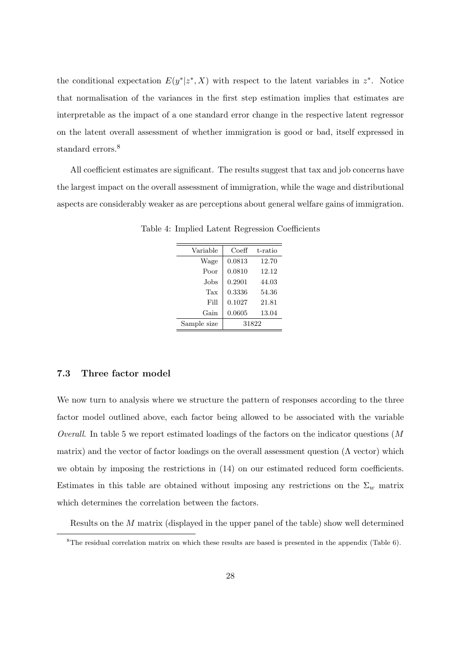the conditional expectation  $E(y^*|z^*,X)$  with respect to the latent variables in  $z^*$ . Notice that normalisation of the variances in the first step estimation implies that estimates are interpretable as the impact of a one standard error change in the respective latent regressor on the latent overall assessment of whether immigration is good or bad, itself expressed in standard errors.<sup>8</sup>

All coefficient estimates are significant. The results suggest that tax and job concerns have the largest impact on the overall assessment of immigration, while the wage and distributional aspects are considerably weaker as are perceptions about general welfare gains of immigration.

| Variable    | Coeff  | t-ratio |  |  |  |
|-------------|--------|---------|--|--|--|
| Wage        | 0.0813 | 12.70   |  |  |  |
| Poor        | 0.0810 | 12.12   |  |  |  |
| Jobs.       | 0.2901 | 44.03   |  |  |  |
| Tax         | 0.3336 | 54.36   |  |  |  |
| Fill        | 0.1027 | 21.81   |  |  |  |
| Gain        | 0.0605 | 13.04   |  |  |  |
| Sample size | 31822  |         |  |  |  |

Table 4: Implied Latent Regression Coefficients

#### 7.3 Three factor model

We now turn to analysis where we structure the pattern of responses according to the three factor model outlined above, each factor being allowed to be associated with the variable *Overall.* In table 5 we report estimated loadings of the factors on the indicator questions  $(M)$ matrix) and the vector of factor loadings on the overall assessment question ( $\Lambda$  vector) which we obtain by imposing the restrictions in (14) on our estimated reduced form coefficients. Estimates in this table are obtained without imposing any restrictions on the  $\Sigma_w$  matrix which determines the correlation between the factors.

Results on the M matrix (displayed in the upper panel of the table) show well determined

 ${}^{8}$ The residual correlation matrix on which these results are based is presented in the appendix (Table 6).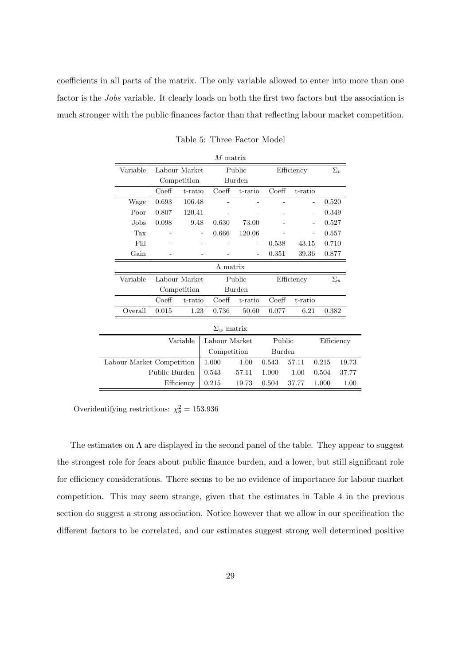coefficients in all parts of the matrix. The only variable allowed to enter into more than one factor is the Jobs variable. It clearly loads on both the first two factors but the association is much stronger with the public finances factor than that reflecting labour market competition.

|                           |               |             |               | $M$ matrix        |                |               |            |                            |            |
|---------------------------|---------------|-------------|---------------|-------------------|----------------|---------------|------------|----------------------------|------------|
| Variable                  | Labour Market |             |               | Public            |                |               | Efficiency |                            | $\Sigma_v$ |
|                           |               | Competition |               | <b>Burden</b>     |                |               |            |                            |            |
|                           | Coeff         | t-ratio     | Coeff         |                   | t-ratio        | Coeff         | t-ratio    |                            |            |
| Wage                      | 0.693         | 106.48      |               |                   |                |               |            | 0.520                      |            |
| Poor                      | 0.807         | 120.41      |               |                   |                |               |            | 0.349                      |            |
| Jobs                      | 0.098         | 9.48        | 0.630         |                   | 73.00          |               |            | 0.527<br>$\qquad \qquad -$ |            |
| Tax                       |               |             | 0.666         |                   | 120.06         |               |            | 0.557                      |            |
| Fill                      |               |             |               |                   |                | 0.538         | 43.15      | 0.710                      |            |
| Gain                      |               |             |               |                   | $\overline{a}$ | 0.351         | 39.36      | 0.877                      |            |
|                           |               |             |               | $\Lambda$ matrix  |                |               |            |                            |            |
| Variable                  | Labour Market |             |               | Public            | Efficiency     |               |            |                            | $\Sigma_u$ |
|                           |               | Competition |               | <b>Burden</b>     |                |               |            |                            |            |
|                           | Coeff         | t-ratio     | Coeff         |                   | t-ratio        | Coeff         | t-ratio    |                            |            |
| Overall                   | 0.015         | 1.23        | 0.736         |                   | 50.60          | 0.077         | 6.21       | 0.382                      |            |
|                           |               |             |               | $\Sigma_w$ matrix |                |               |            |                            |            |
|                           |               | Variable    | Labour Market |                   |                | Public        |            |                            | Efficiency |
|                           |               |             |               | Competition       |                | <b>Burden</b> |            |                            |            |
| Labour Market Competition |               |             | 1.000         | 1.00              |                | 0.543         | 57.11      | 0.215                      | 19.73      |
|                           | Public Burden |             | 0.543         | 57.11             |                | 1.000         | 1.00       | 0.504                      | 37.77      |
|                           | Efficiency    | 0.215       | 19.73         |                   | 0.504          | 37.77         | 1.000      | 1.00                       |            |

Table 5: Three Factor Model

Overidentifying restrictions:  $\chi^2_8 = 153.936$ 

 $=$ 

The estimates on  $\Lambda$  are displayed in the second panel of the table. They appear to suggest the strongest role for fears about public finance burden, and a lower, but still significant role for efficiency considerations. There seems to be no evidence of importance for labour market competition. This may seem strange, given that the estimates in Table 4 in the previous section do suggest a strong association. Notice however that we allow in our specification the different factors to be correlated, and our estimates suggest strong well determined positive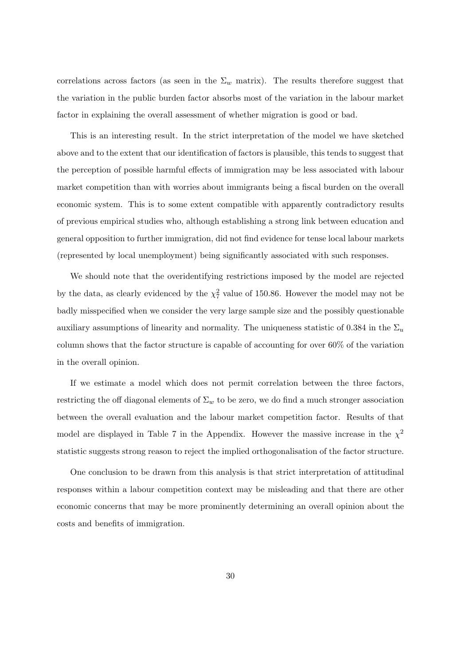correlations across factors (as seen in the  $\Sigma_w$  matrix). The results therefore suggest that the variation in the public burden factor absorbs most of the variation in the labour market factor in explaining the overall assessment of whether migration is good or bad.

This is an interesting result. In the strict interpretation of the model we have sketched above and to the extent that our identification of factors is plausible, this tends to suggest that the perception of possible harmful effects of immigration may be less associated with labour market competition than with worries about immigrants being a fiscal burden on the overall economic system. This is to some extent compatible with apparently contradictory results of previous empirical studies who, although establishing a strong link between education and general opposition to further immigration, did not find evidence for tense local labour markets (represented by local unemployment) being significantly associated with such responses.

We should note that the overidentifying restrictions imposed by the model are rejected by the data, as clearly evidenced by the  $\chi^2$  value of 150.86. However the model may not be badly misspecified when we consider the very large sample size and the possibly questionable auxiliary assumptions of linearity and normality. The uniqueness statistic of 0.384 in the  $\Sigma_u$ column shows that the factor structure is capable of accounting for over 60% of the variation in the overall opinion.

If we estimate a model which does not permit correlation between the three factors, restricting the off diagonal elements of  $\Sigma_w$  to be zero, we do find a much stronger association between the overall evaluation and the labour market competition factor. Results of that model are displayed in Table 7 in the Appendix. However the massive increase in the  $\chi^2$ statistic suggests strong reason to reject the implied orthogonalisation of the factor structure.

One conclusion to be drawn from this analysis is that strict interpretation of attitudinal responses within a labour competition context may be misleading and that there are other economic concerns that may be more prominently determining an overall opinion about the costs and benefits of immigration.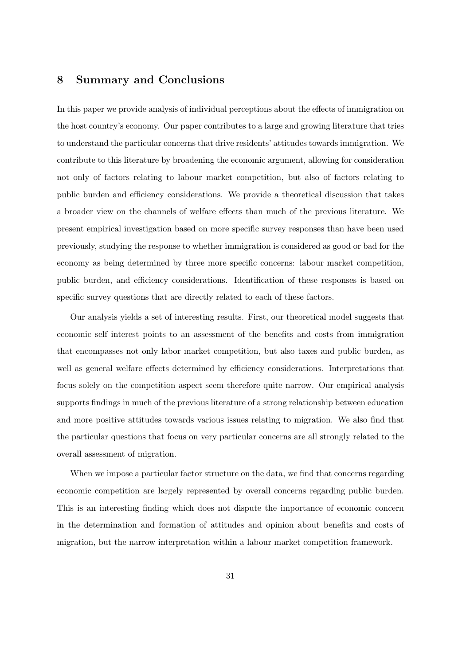## 8 Summary and Conclusions

In this paper we provide analysis of individual perceptions about the effects of immigration on the host country's economy. Our paper contributes to a large and growing literature that tries to understand the particular concerns that drive residents' attitudes towards immigration. We contribute to this literature by broadening the economic argument, allowing for consideration not only of factors relating to labour market competition, but also of factors relating to public burden and efficiency considerations. We provide a theoretical discussion that takes a broader view on the channels of welfare effects than much of the previous literature. We present empirical investigation based on more specific survey responses than have been used previously, studying the response to whether immigration is considered as good or bad for the economy as being determined by three more specific concerns: labour market competition, public burden, and efficiency considerations. Identification of these responses is based on specific survey questions that are directly related to each of these factors.

Our analysis yields a set of interesting results. First, our theoretical model suggests that economic self interest points to an assessment of the benefits and costs from immigration that encompasses not only labor market competition, but also taxes and public burden, as well as general welfare effects determined by efficiency considerations. Interpretations that focus solely on the competition aspect seem therefore quite narrow. Our empirical analysis supports findings in much of the previous literature of a strong relationship between education and more positive attitudes towards various issues relating to migration. We also find that the particular questions that focus on very particular concerns are all strongly related to the overall assessment of migration.

When we impose a particular factor structure on the data, we find that concerns regarding economic competition are largely represented by overall concerns regarding public burden. This is an interesting finding which does not dispute the importance of economic concern in the determination and formation of attitudes and opinion about benefits and costs of migration, but the narrow interpretation within a labour market competition framework.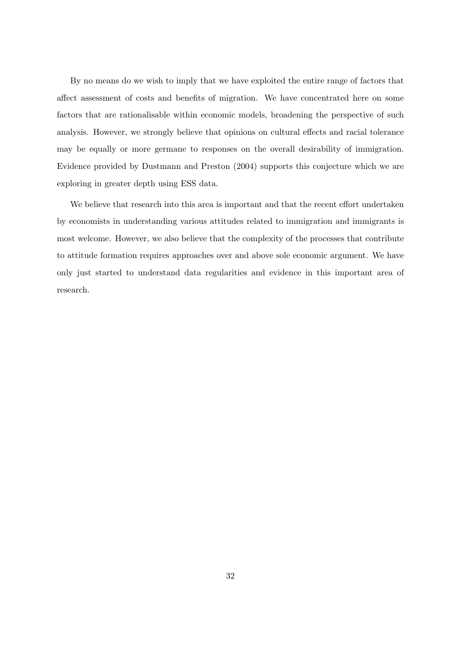By no means do we wish to imply that we have exploited the entire range of factors that affect assessment of costs and benefits of migration. We have concentrated here on some factors that are rationalisable within economic models, broadening the perspective of such analysis. However, we strongly believe that opinions on cultural effects and racial tolerance may be equally or more germane to responses on the overall desirability of immigration. Evidence provided by Dustmann and Preston (2004) supports this conjecture which we are exploring in greater depth using ESS data.

We believe that research into this area is important and that the recent effort undertaken by economists in understanding various attitudes related to immigration and immigrants is most welcome. However, we also believe that the complexity of the processes that contribute to attitude formation requires approaches over and above sole economic argument. We have only just started to understand data regularities and evidence in this important area of research.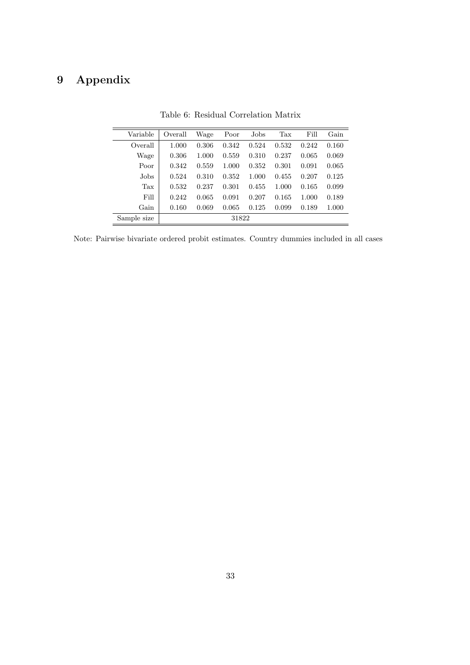# 9 Appendix

| Variable    | Overall | Wage  | Poor  | Jobs  | Tax   | Fill  | Gain  |  |  |  |
|-------------|---------|-------|-------|-------|-------|-------|-------|--|--|--|
| Overall     | 1.000   | 0.306 | 0.342 | 0.524 | 0.532 | 0.242 | 0.160 |  |  |  |
| Wage        | 0.306   | 1.000 | 0.559 | 0.310 | 0.237 | 0.065 | 0.069 |  |  |  |
| Poor        | 0.342   | 0.559 | 1.000 | 0.352 | 0.301 | 0.091 | 0.065 |  |  |  |
| Jobs        | 0.524   | 0.310 | 0.352 | 1.000 | 0.455 | 0.207 | 0.125 |  |  |  |
| Tax         | 0.532   | 0.237 | 0.301 | 0.455 | 1.000 | 0.165 | 0.099 |  |  |  |
| Fill        | 0.242   | 0.065 | 0.091 | 0.207 | 0.165 | 1.000 | 0.189 |  |  |  |
| Gain        | 0.160   | 0.069 | 0.065 | 0.125 | 0.099 | 0.189 | 1.000 |  |  |  |
| Sample size |         | 31822 |       |       |       |       |       |  |  |  |

Table 6: Residual Correlation Matrix

Note: Pairwise bivariate ordered probit estimates. Country dummies included in all cases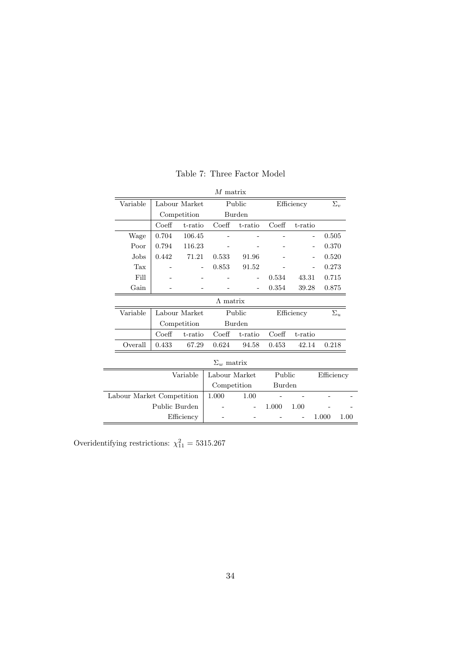| $M$ matrix                |                  |               |                   |               |        |            |            |            |
|---------------------------|------------------|---------------|-------------------|---------------|--------|------------|------------|------------|
| Variable                  | Labour Market    |               |                   | Public        |        | Efficiency |            | $\Sigma_v$ |
|                           |                  | Competition   | <b>Burden</b>     |               |        |            |            |            |
|                           | Coeff<br>t-ratio |               | Coeff             | t-ratio       | Coeff  | t-ratio    |            |            |
| Wage                      | 0.704            | 106.45        |                   |               |        |            | 0.505      |            |
| Poor                      | 0.794            | 116.23        |                   |               |        |            | 0.370      |            |
| Jobs.                     | 0.442            | 71.21         | 0.533             | 91.96         |        | ۰          | 0.520      |            |
| Tax                       |                  |               | 0.853             | 91.52         |        |            | 0.273      |            |
| Fill                      |                  |               |                   |               | 0.534  | 43.31      | 0.715      |            |
| Gain                      |                  |               |                   |               | 0.354  | 39.28      | 0.875      |            |
|                           |                  |               | $\Lambda$ matrix  |               |        |            |            |            |
| Variable                  |                  | Labour Market |                   | Public        |        | Efficiency |            | $\Sigma_u$ |
|                           |                  | Competition   |                   | <b>Burden</b> |        |            |            |            |
|                           | Coeff            | t-ratio       | Coeff             | t-ratio       | Coeff  | t-ratio    |            |            |
| Overall                   | 0.433            | 67.29         | 0.624             | 94.58         | 0.453  | 42.14      | 0.218      |            |
|                           |                  |               | $\Sigma_w$ matrix |               |        |            |            |            |
|                           |                  | Variable      | Labour Market     |               | Public |            | Efficiency |            |
|                           |                  | Competition   |                   | Burden        |        |            |            |            |
| Labour Market Competition |                  |               | 1.000             | 1.00          |        |            |            |            |
| Public Burden             |                  |               |                   |               | 1.000  | 1.00       |            |            |
|                           |                  | Efficiency    |                   |               |        |            | 1.000      | 1.00       |

Table 7: Three Factor Model

Overidentifying restrictions:  $\chi_{11}^2 = 5315.267$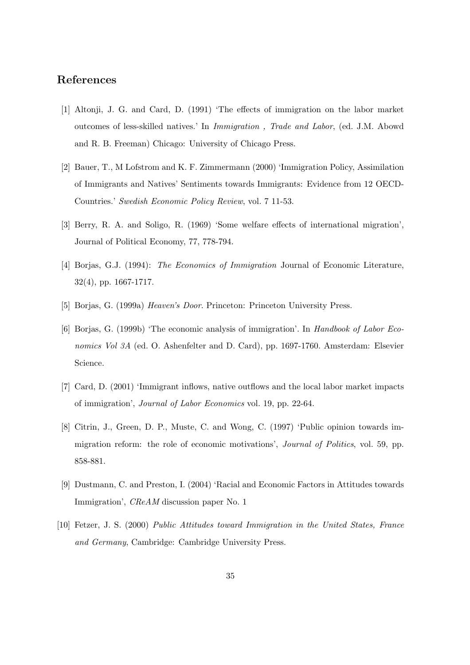## References

- [1] Altonji, J. G. and Card, D. (1991) 'The effects of immigration on the labor market outcomes of less-skilled natives.' In Immigration , Trade and Labor, (ed. J.M. Abowd and R. B. Freeman) Chicago: University of Chicago Press.
- [2] Bauer, T., M Lofstrom and K. F. Zimmermann (2000) 'Immigration Policy, Assimilation of Immigrants and Natives' Sentiments towards Immigrants: Evidence from 12 OECD-Countries.' Swedish Economic Policy Review, vol. 7 11-53.
- [3] Berry, R. A. and Soligo, R. (1969) 'Some welfare effects of international migration', Journal of Political Economy, 77, 778-794.
- [4] Borjas, G.J. (1994): The Economics of Immigration Journal of Economic Literature, 32(4), pp. 1667-1717.
- [5] Borjas, G. (1999a) Heaven's Door. Princeton: Princeton University Press.
- [6] Borjas, G. (1999b) 'The economic analysis of immigration'. In Handbook of Labor Economics Vol 3A (ed. O. Ashenfelter and D. Card), pp. 1697-1760. Amsterdam: Elsevier Science.
- [7] Card, D. (2001) 'Immigrant inflows, native outflows and the local labor market impacts of immigration', Journal of Labor Economics vol. 19, pp. 22-64.
- [8] Citrin, J., Green, D. P., Muste, C. and Wong, C. (1997) 'Public opinion towards immigration reform: the role of economic motivations', Journal of Politics, vol. 59, pp. 858-881.
- [9] Dustmann, C. and Preston, I. (2004) 'Racial and Economic Factors in Attitudes towards Immigration', CReAM discussion paper No. 1
- [10] Fetzer, J. S. (2000) Public Attitudes toward Immigration in the United States, France and Germany, Cambridge: Cambridge University Press.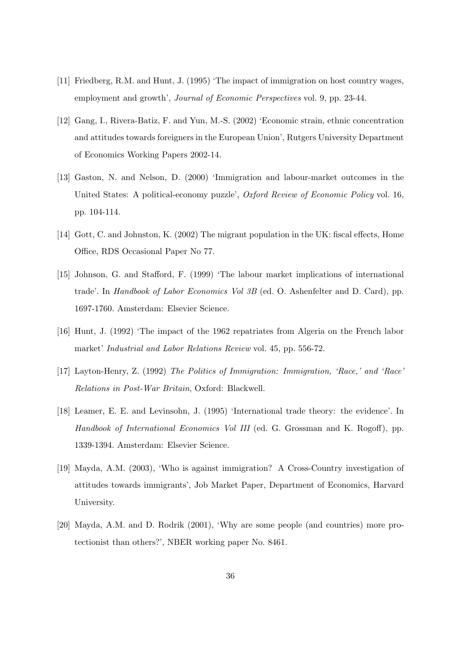- [11] Friedberg, R.M. and Hunt, J. (1995) 'The impact of immigration on host country wages, employment and growth', Journal of Economic Perspectives vol. 9, pp. 23-44.
- [12] Gang, I., Rivera-Batiz, F. and Yun, M.-S. (2002) 'Economic strain, ethnic concentration and attitudes towards foreigners in the European Union', Rutgers University Department of Economics Working Papers 2002-14.
- [13] Gaston, N. and Nelson, D. (2000) 'Immigration and labour-market outcomes in the United States: A political-economy puzzle', Oxford Review of Economic Policy vol. 16, pp. 104-114.
- [14] Gott, C. and Johnston, K. (2002) The migrant population in the UK: fiscal effects, Home Office, RDS Occasional Paper No 77.
- [15] Johnson, G. and Stafford, F. (1999) 'The labour market implications of international trade'. In Handbook of Labor Economics Vol 3B (ed. O. Ashenfelter and D. Card), pp. 1697-1760. Amsterdam: Elsevier Science.
- [16] Hunt, J. (1992) 'The impact of the 1962 repatriates from Algeria on the French labor market' Industrial and Labor Relations Review vol. 45, pp. 556-72.
- [17] Layton-Henry, Z. (1992) The Politics of Immigration: Immigration, 'Race,' and 'Race' Relations in Post-War Britain, Oxford: Blackwell.
- [18] Leamer, E. E. and Levinsohn, J. (1995) 'International trade theory: the evidence'. In Handbook of International Economics Vol III (ed. G. Grossman and K. Rogoff), pp. 1339-1394. Amsterdam: Elsevier Science.
- [19] Mayda, A.M. (2003), 'Who is against immigration? A Cross-Country investigation of attitudes towards immigrants', Job Market Paper, Department of Economics, Harvard University.
- [20] Mayda, A.M. and D. Rodrik (2001), 'Why are some people (and countries) more protectionist than others?', NBER working paper No. 8461.